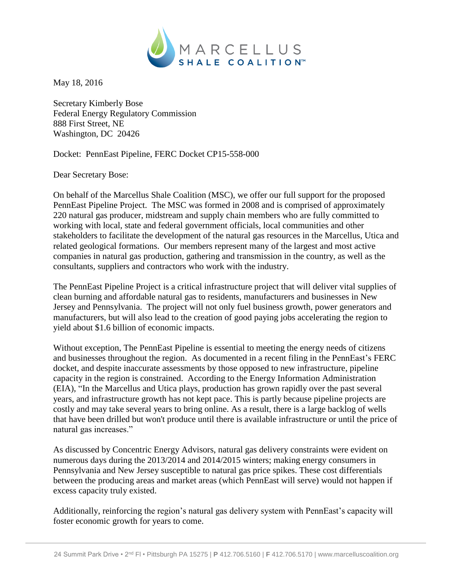

May 18, 2016

Secretary Kimberly Bose Federal Energy Regulatory Commission 888 First Street, NE Washington, DC 20426

Docket: PennEast Pipeline, FERC Docket CP15-558-000

Dear Secretary Bose:

On behalf of the Marcellus Shale Coalition (MSC), we offer our full support for the proposed PennEast Pipeline Project. The MSC was formed in 2008 and is comprised of approximately 220 natural gas producer, midstream and supply chain members who are fully committed to working with local, state and federal government officials, local communities and other stakeholders to facilitate the development of the natural gas resources in the Marcellus, Utica and related geological formations. Our members represent many of the largest and most active companies in natural gas production, gathering and transmission in the country, as well as the consultants, suppliers and contractors who work with the industry.

The PennEast Pipeline Project is a critical infrastructure project that will deliver vital supplies of clean burning and affordable natural gas to residents, manufacturers and businesses in New Jersey and Pennsylvania. The project will not only fuel business growth, power generators and manufacturers, but will also lead to the creation of good paying jobs accelerating the region to yield about \$1.6 billion of economic impacts.

Without exception, The PennEast Pipeline is essential to meeting the energy needs of citizens and businesses throughout the region. As documented in a recent filing in the PennEast's FERC docket, and despite inaccurate assessments by those opposed to new infrastructure, pipeline capacity in the region is constrained. According to the Energy Information Administration (EIA), "In the Marcellus and Utica plays, production has grown rapidly over the past several years, and infrastructure growth has not kept pace. This is partly because pipeline projects are costly and may take several years to bring online. As a result, there is a large backlog of wells that have been drilled but won't produce until there is available infrastructure or until the price of natural gas increases."

As discussed by Concentric Energy Advisors, natural gas delivery constraints were evident on numerous days during the 2013/2014 and 2014/2015 winters; making energy consumers in Pennsylvania and New Jersey susceptible to natural gas price spikes. These cost differentials between the producing areas and market areas (which PennEast will serve) would not happen if excess capacity truly existed.

Additionally, reinforcing the region's natural gas delivery system with PennEast's capacity will foster economic growth for years to come.